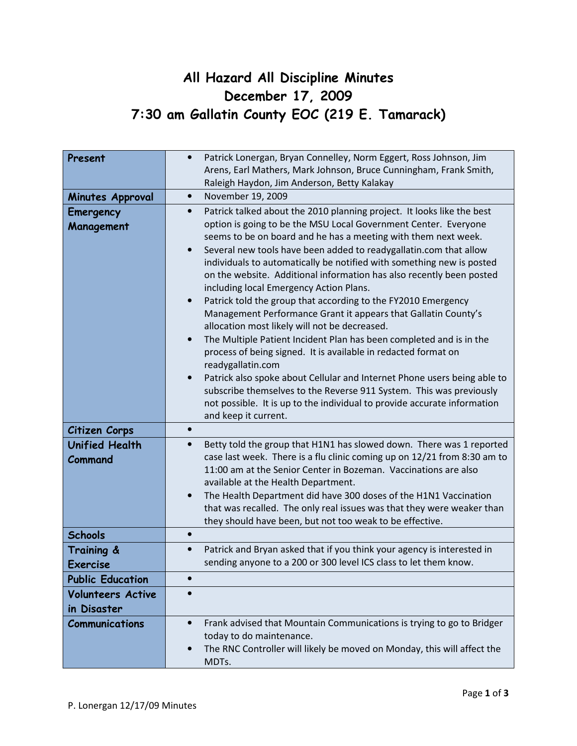## All Hazard All Discipline Minutes December 17, 2009 7:30 am Gallatin County EOC (219 E. Tamarack)

| Present                                 | Patrick Lonergan, Bryan Connelley, Norm Eggert, Ross Johnson, Jim<br>$\bullet$<br>Arens, Earl Mathers, Mark Johnson, Bruce Cunningham, Frank Smith,<br>Raleigh Haydon, Jim Anderson, Betty Kalakay                                                                                                                                                                                                                                                                                                                                                                                                                                                                                                                                                                                                                                                                                                                                                                                                                                                                                                   |
|-----------------------------------------|------------------------------------------------------------------------------------------------------------------------------------------------------------------------------------------------------------------------------------------------------------------------------------------------------------------------------------------------------------------------------------------------------------------------------------------------------------------------------------------------------------------------------------------------------------------------------------------------------------------------------------------------------------------------------------------------------------------------------------------------------------------------------------------------------------------------------------------------------------------------------------------------------------------------------------------------------------------------------------------------------------------------------------------------------------------------------------------------------|
| Minutes Approval                        | November 19, 2009<br>$\bullet$                                                                                                                                                                                                                                                                                                                                                                                                                                                                                                                                                                                                                                                                                                                                                                                                                                                                                                                                                                                                                                                                       |
| Emergency<br>Management                 | Patrick talked about the 2010 planning project. It looks like the best<br>$\bullet$<br>option is going to be the MSU Local Government Center. Everyone<br>seems to be on board and he has a meeting with them next week.<br>Several new tools have been added to readygallatin.com that allow<br>individuals to automatically be notified with something new is posted<br>on the website. Additional information has also recently been posted<br>including local Emergency Action Plans.<br>Patrick told the group that according to the FY2010 Emergency<br>$\bullet$<br>Management Performance Grant it appears that Gallatin County's<br>allocation most likely will not be decreased.<br>The Multiple Patient Incident Plan has been completed and is in the<br>$\bullet$<br>process of being signed. It is available in redacted format on<br>readygallatin.com<br>Patrick also spoke about Cellular and Internet Phone users being able to<br>subscribe themselves to the Reverse 911 System. This was previously<br>not possible. It is up to the individual to provide accurate information |
| Citizen Corps                           | and keep it current.<br>$\bullet$                                                                                                                                                                                                                                                                                                                                                                                                                                                                                                                                                                                                                                                                                                                                                                                                                                                                                                                                                                                                                                                                    |
| <b>Unified Health</b><br>Command        | Betty told the group that H1N1 has slowed down. There was 1 reported<br>$\bullet$<br>case last week. There is a flu clinic coming up on 12/21 from 8:30 am to<br>11:00 am at the Senior Center in Bozeman. Vaccinations are also<br>available at the Health Department.<br>The Health Department did have 300 doses of the H1N1 Vaccination<br>that was recalled. The only real issues was that they were weaker than<br>they should have been, but not too weak to be effective.                                                                                                                                                                                                                                                                                                                                                                                                                                                                                                                                                                                                                    |
| <b>Schools</b>                          | $\bullet$                                                                                                                                                                                                                                                                                                                                                                                                                                                                                                                                                                                                                                                                                                                                                                                                                                                                                                                                                                                                                                                                                            |
| Training &<br><b>Exercise</b>           | Patrick and Bryan asked that if you think your agency is interested in<br>$\bullet$<br>sending anyone to a 200 or 300 level ICS class to let them know.                                                                                                                                                                                                                                                                                                                                                                                                                                                                                                                                                                                                                                                                                                                                                                                                                                                                                                                                              |
| <b>Public Education</b>                 |                                                                                                                                                                                                                                                                                                                                                                                                                                                                                                                                                                                                                                                                                                                                                                                                                                                                                                                                                                                                                                                                                                      |
| <b>Volunteers Active</b><br>in Disaster | $\bullet$                                                                                                                                                                                                                                                                                                                                                                                                                                                                                                                                                                                                                                                                                                                                                                                                                                                                                                                                                                                                                                                                                            |
| <b>Communications</b>                   | Frank advised that Mountain Communications is trying to go to Bridger<br>$\bullet$<br>today to do maintenance.<br>The RNC Controller will likely be moved on Monday, this will affect the<br>MDTs.                                                                                                                                                                                                                                                                                                                                                                                                                                                                                                                                                                                                                                                                                                                                                                                                                                                                                                   |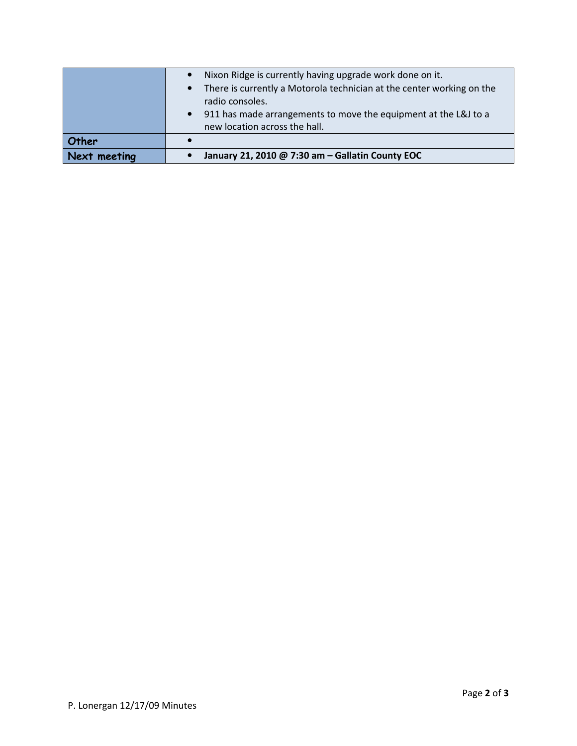|              | Nixon Ridge is currently having upgrade work done on it.              |
|--------------|-----------------------------------------------------------------------|
|              | There is currently a Motorola technician at the center working on the |
|              | radio consoles.                                                       |
|              | 911 has made arrangements to move the equipment at the L&J to a       |
|              | new location across the hall.                                         |
| Other        |                                                                       |
| Next meeting | January 21, 2010 @ 7:30 am - Gallatin County EOC                      |